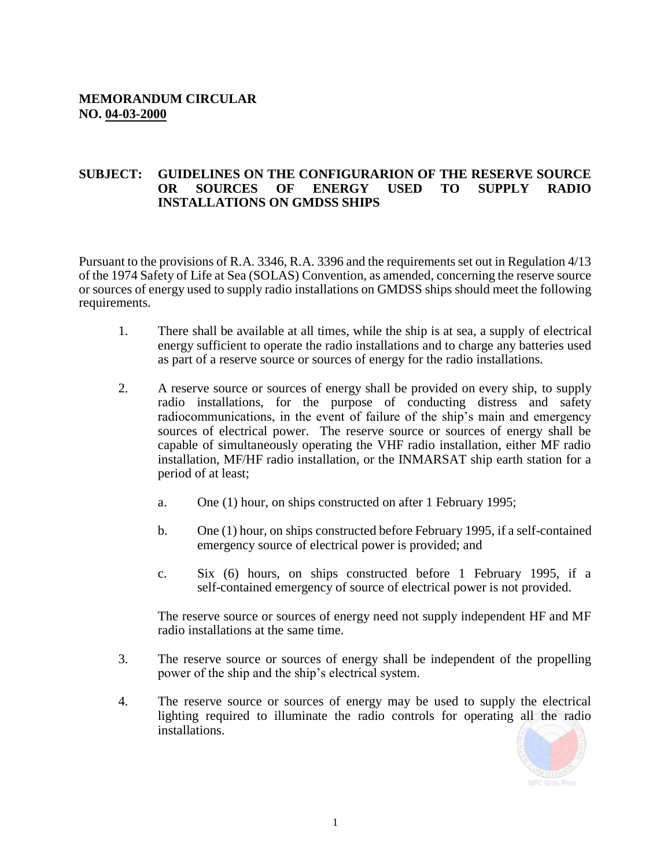## **SUBJECT: GUIDELINES ON THE CONFIGURARION OF THE RESERVE SOURCE OR SOURCES OF ENERGY USED TO SUPPLY RADIO INSTALLATIONS ON GMDSS SHIPS**

Pursuant to the provisions of R.A. 3346, R.A. 3396 and the requirements set out in Regulation 4/13 of the 1974 Safety of Life at Sea (SOLAS) Convention, as amended, concerning the reserve source or sources of energy used to supply radio installations on GMDSS ships should meet the following requirements.

- 1. There shall be available at all times, while the ship is at sea, a supply of electrical energy sufficient to operate the radio installations and to charge any batteries used as part of a reserve source or sources of energy for the radio installations.
- 2. A reserve source or sources of energy shall be provided on every ship, to supply radio installations, for the purpose of conducting distress and safety radiocommunications, in the event of failure of the ship's main and emergency sources of electrical power. The reserve source or sources of energy shall be capable of simultaneously operating the VHF radio installation, either MF radio installation, MF/HF radio installation, or the INMARSAT ship earth station for a period of at least;
	- a. One (1) hour, on ships constructed on after 1 February 1995;
	- b. One (1) hour, on ships constructed before February 1995, if a self-contained emergency source of electrical power is provided; and
	- c. Six (6) hours, on ships constructed before 1 February 1995, if a self-contained emergency of source of electrical power is not provided.

The reserve source or sources of energy need not supply independent HF and MF radio installations at the same time.

- 3. The reserve source or sources of energy shall be independent of the propelling power of the ship and the ship's electrical system.
- 4. The reserve source or sources of energy may be used to supply the electrical lighting required to illuminate the radio controls for operating all the radio installations.

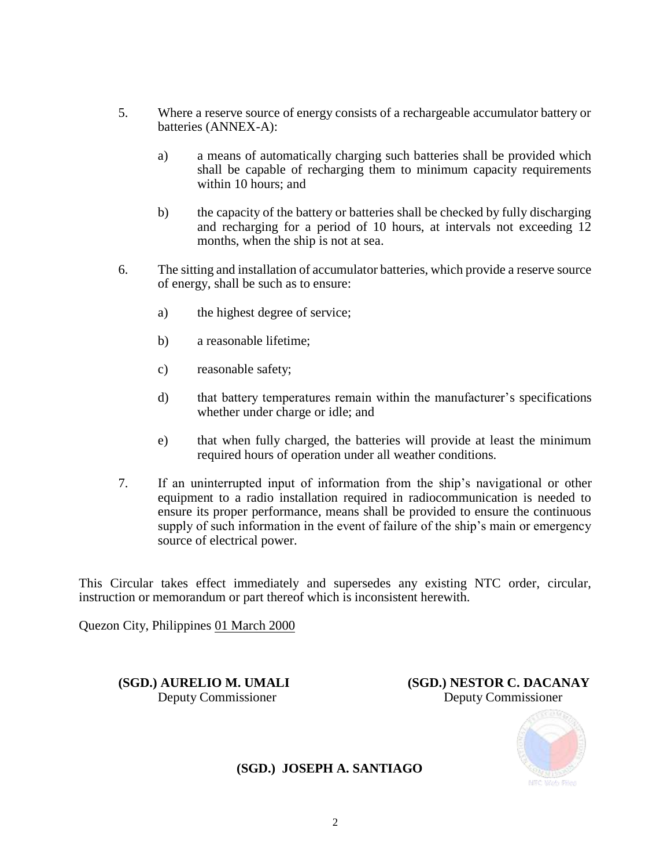- 5. Where a reserve source of energy consists of a rechargeable accumulator battery or batteries (ANNEX-A):
	- a) a means of automatically charging such batteries shall be provided which shall be capable of recharging them to minimum capacity requirements within 10 hours; and
	- b) the capacity of the battery or batteries shall be checked by fully discharging and recharging for a period of 10 hours, at intervals not exceeding 12 months, when the ship is not at sea.
- 6. The sitting and installation of accumulator batteries, which provide a reserve source of energy, shall be such as to ensure:
	- a) the highest degree of service;
	- b) a reasonable lifetime;
	- c) reasonable safety;
	- d) that battery temperatures remain within the manufacturer's specifications whether under charge or idle; and
	- e) that when fully charged, the batteries will provide at least the minimum required hours of operation under all weather conditions.
- 7. If an uninterrupted input of information from the ship's navigational or other equipment to a radio installation required in radiocommunication is needed to ensure its proper performance, means shall be provided to ensure the continuous supply of such information in the event of failure of the ship's main or emergency source of electrical power.

This Circular takes effect immediately and supersedes any existing NTC order, circular, instruction or memorandum or part thereof which is inconsistent herewith.

Quezon City, Philippines 01 March 2000

**(SGD.) AURELIO M. UMALI (SGD.) NESTOR C. DACANAY** Deputy Commissioner Deputy Commissioner



**(SGD.) JOSEPH A. SANTIAGO**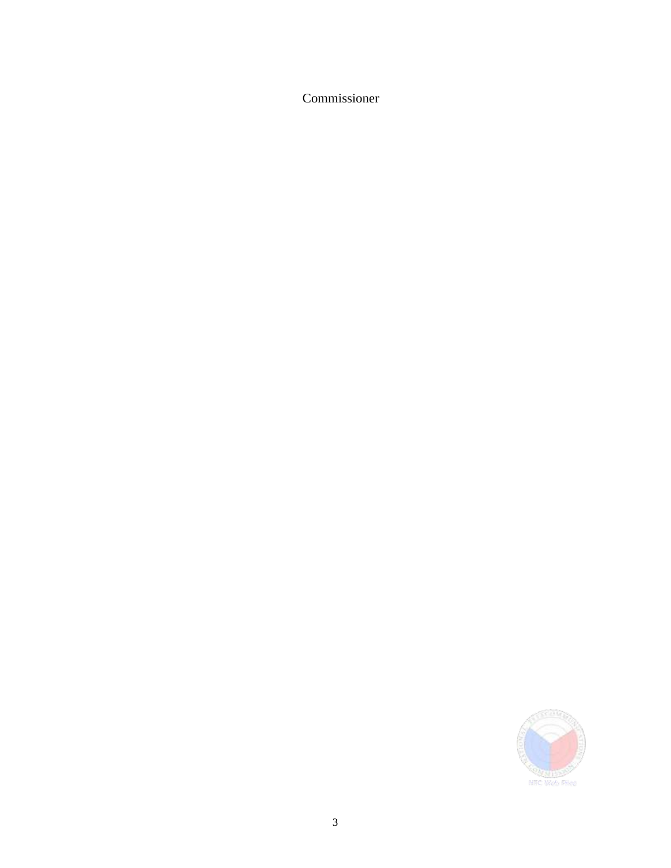Commissioner